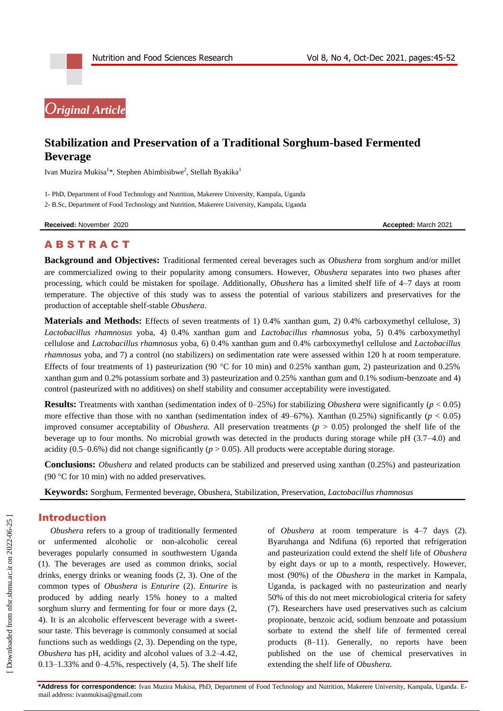# *Original Article*

## **Stabilization and Preservation of a Traditional Sorghum-based Fermented Beverage**

Ivan Muzira Mukisa<sup>1</sup>\*, Stephen Ahimbisibwe<sup>2</sup>, Stellah Byakika<sup>1</sup>

1- PhD, Department of Food Technology and Nutrition, Makerere University, Kampala, Uganda 2- B.Sc, Department of Food Technology and Nutrition, Makerere University, Kampala, Uganda

**Received:** November 2020 **Accepted:** March 2021

## **ABSTRACT**

**Background and Objectives:** Traditional fermented cereal beverages such as *Obushera* from sorghum and/or millet are commercialized owing to their popularity among consumers. However, *Obushera* separates into two phases after processing, which could be mistaken for spoilage. Additionally, *Obushera* has a limited shelf life of 4–7 days at room temperature. The objective of this study was to assess the potential of various stabilizers and preservatives for the production of acceptable shelf-stable *Obushera*.

**Materials and Methods:** Effects of seven treatments of 1) 0.4% xanthan gum, 2) 0.4% carboxymethyl cellulose, 3) *Lactobacillus rhamnosus* yoba, 4) 0.4% xanthan gum and *Lactobacillus rhamnosus* yoba, 5) 0.4% carboxymethyl cellulose and *Lactobacillus rhamnosus* yoba, 6) 0.4% xanthan gum and 0.4% carboxymethyl cellulose and *Lactobacillus rhamnosus* yoba, and 7) a control (no stabilizers) on sedimentation rate were assessed within 120 h at room temperature. Effects of four treatments of 1) pasteurization (90 °C for 10 min) and 0.25% xanthan gum, 2) pasteurization and 0.25% xanthan gum and 0.2% potassium sorbate and 3) pasteurization and 0.25% xanthan gum and 0.1% sodium-benzoate and 4) control (pasteurized with no additives) on shelf stability and consumer acceptability were investigated.

**Results:** Treatments with xanthan (sedimentation index of 0–25%) for stabilizing *Obushera* were significantly (*p* < 0.05) more effective than those with no xanthan (sedimentation index of 49–67%)*.* Xanthan (0.25%) significantly (*p* < 0.05) improved consumer acceptability of *Obushera.* All preservation treatments (*p* > 0.05) prolonged the shelf life of the beverage up to four months. No microbial growth was detected in the products during storage while pH (3.7–4.0) and acidity (0.5–0.6%) did not change significantly ( $p > 0.05$ ). All products were acceptable during storage.

**Conclusions:** *Obushera* and related products can be stabilized and preserved using xanthan (0.25%) and pasteurization (90  $\degree$ C for 10 min) with no added preservatives.

**Keywords:** Sorghum, Fermented beverage, Obushera, Stabilization, Preservation, *Lactobacillus rhamnosus*

#### Introduction

*Obushera* refers to a group of traditionally fermented or unfermented alcoholic or non-alcoholic cereal beverages popularly consumed in southwestern Uganda (1). The beverages are used as common drinks, social drinks, energy drinks or weaning foods (2, 3). One of the common types of *Obushera* is *Enturire* (2). *Enturire* is produced by adding nearly 15% honey to a malted sorghum slurry and fermenting for four or more days (2, 4). It is an alcoholic effervescent beverage with a sweetsour taste. This beverage is commonly consumed at social functions such as weddings (2, 3). Depending on the type, *Obushera* has pH, acidity and alcohol values of 3.2–4.42,  $0.13-1.33\%$  and  $0-4.5\%$ , respectively  $(4, 5)$ . The shelf life of *Obushera* at room temperature is 4–7 days (2). Byaruhanga and Ndifuna (6) reported that refrigeration and pasteurization could extend the shelf life of *Obushera* by eight days or up to a month, respectively. However, most (90%) of the *Obushera* in the market in Kampala, Uganda, is packaged with no pasteurization and nearly 50% of this do not meet microbiological criteria for safety (7). Researchers have used preservatives such as calcium propionate, benzoic acid, sodium benzoate and potassium sorbate to extend the shelf life of fermented cereal products (8–11). Generally, no reports have been published on the use of chemical preservatives in extending the shelf life of *Obushera.*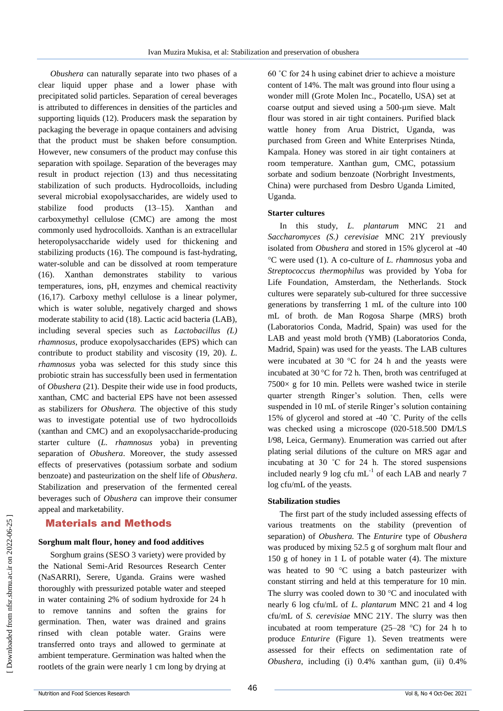*Obushera* can naturally separate into two phases of a clear liquid upper phase and a lower phase with precipitated solid particles. Separation of cereal beverages is attributed to differences in densities of the particles and supporting liquids (12). Producers mask the separation by packaging the beverage in opaque containers and advising that the product must be shaken before consumption. However, new consumers of the product may confuse this separation with spoilage. Separation of the beverages may result in product rejection (13) and thus necessitating stabilization of such products. Hydrocolloids, including several microbial exopolysaccharides, are widely used to stabilize food products (13–15). Xanthan and carboxymethyl cellulose (CMC) are among the most commonly used hydrocolloids. Xanthan is an extracellular heteropolysaccharide widely used for thickening and stabilizing products (16). The compound is fast-hydrating, water-soluble and can be dissolved at room temperature (16). Xanthan demonstrates stability to various temperatures, ions, pH, enzymes and chemical reactivity (16,17). Carboxy methyl cellulose is a linear polymer, which is water soluble, negatively charged and shows moderate stability to acid (18). Lactic acid bacteria (LAB), including several species such as *Lactobacillus (L) rhamnosus*, produce exopolysaccharides (EPS) which can contribute to product stability and viscosity (19, 20). *L. rhamnosus* yoba was selected for this study since this probiotic strain has successfully been used in fermentation of *Obushera* (21). Despite their wide use in food products, xanthan, CMC and bacterial EPS have not been assessed as stabilizers for *Obushera.* The objective of this study was to investigate potential use of two hydrocolloids (xanthan and CMC) and an exopolysaccharide-producing starter culture (*L. rhamnosus* yoba) in preventing separation of *Obushera*. Moreover, the study assessed effects of preservatives (potassium sorbate and sodium benzoate) and pasteurization on the shelf life of *Obushera*. Stabilization and preservation of the fermented cereal beverages such of *Obushera* can improve their consumer appeal and marketability.

## Materials and Methods

#### **Sorghum malt flour, honey and food additives**

Sorghum grains (SESO 3 variety) were provided by the National Semi-Arid Resources Research Center (NaSARRI), Serere, Uganda. Grains were washed thoroughly with pressurized potable water and steeped in water containing 2% of sodium hydroxide for 24 h to remove tannins and soften the grains for germination. Then, water was drained and grains rinsed with clean potable water. Grains were transferred onto trays and allowed to germinate at ambient temperature. Germination was halted when the rootlets of the grain were nearly 1 cm long by drying at

60 ˚C for 24 h using cabinet drier to achieve a moisture content of 14%. The malt was ground into flour using a wonder mill (Grote Molen Inc., Pocatello, USA) set at coarse output and sieved using a 500-µm sieve. Malt flour was stored in air tight containers. Purified black wattle honey from Arua District, Uganda, was purchased from Green and White Enterprises Ntinda, Kampala. Honey was stored in air tight containers at room temperature. Xanthan gum, CMC, potassium sorbate and sodium benzoate (Norbright Investments, China) were purchased from Desbro Uganda Limited, Uganda.

#### **Starter cultures**

In this study, *L. plantarum* MNC 21 and *Saccharomyces (S.) cerevisiae* MNC 21Y previously isolated from *Obushera* and stored in 15% glycerol at -40 C were used (1). A co-culture of *L. rhamnosus* yoba and *Streptococcus thermophilus* was provided by Yoba for Life Foundation, Amsterdam, the Netherlands. Stock cultures were separately sub-cultured for three successive generations by transferring 1 mL of the culture into 100 mL of broth. de Man Rogosa Sharpe (MRS) broth (Laboratorios Conda, Madrid, Spain) was used for the LAB and yeast mold broth (YMB) (Laboratorios Conda, Madrid, Spain) was used for the yeasts. The LAB cultures were incubated at 30  $^{\circ}$ C for 24 h and the yeasts were incubated at 30 °C for 72 h. Then, broth was centrifuged at  $7500\times$  g for 10 min. Pellets were washed twice in sterile quarter strength Ringer's solution. Then, cells were suspended in 10 mL of sterile Ringer's solution containing 15% of glycerol and stored at -40 ˚C. Purity of the cells was checked using a microscope (020-518.500 DM/LS I/98, Leica, Germany). Enumeration was carried out after plating serial dilutions of the culture on MRS agar and incubating at 30 ˚C for 24 h. The stored suspensions included nearly 9 log cfu  $mL^{-1}$  of each LAB and nearly 7 log cfu/mL of the yeasts.

#### **Stabilization studies**

The first part of the study included assessing effects of various treatments on the stability (prevention of separation) of *Obushera.* The *Enturire* type of *Obushera* was produced by mixing 52.5 g of sorghum malt flour and 150 g of honey in 1 L of potable water (4). The mixture was heated to 90  $\degree$ C using a batch pasteurizer with constant stirring and held at this temperature for 10 min. The slurry was cooled down to 30  $^{\circ}$ C and inoculated with nearly 6 log cfu/mL of *L. plantarum* MNC 21 and 4 log cfu/mL of *S. cerevisiae* MNC 21Y. The slurry was then incubated at room temperature  $(25-28 \degree C)$  for 24 h to produce *Enturire* (Figure 1). Seven treatments were assessed for their effects on sedimentation rate of *Obushera*, including (i) 0.4% xanthan gum, (ii) 0.4%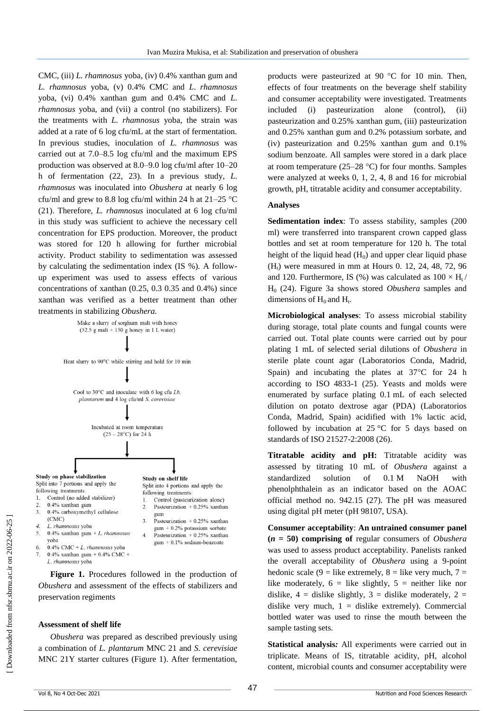CMC, (iii) *L. rhamnosus* yoba, (iv) 0.4% xanthan gum and *L. rhamnosus* yoba, (v) 0.4% CMC and *L*. *rhamnosus*  yoba, (vi) 0.4% xanthan gum and 0.4% CMC and *L*. *rhamnosus* yoba, and (vii) a control (no stabilizers). For the treatments with *L. rhamnosus* yoba, the strain was added at a rate of 6 log cfu/mL at the start of fermentation. In previous studies, inoculation of *L. rhamnosus* was carried out at 7.0–8.5 log cfu/ml and the maximum EPS production was observed at 8.0–9.0 log cfu/ml after 10–20 h of fermentation (22, 23). In a previous study, *L. rhamnosus* was inoculated into *Obushera* at nearly 6 log cfu/ml and grew to 8.8 log cfu/ml within 24 h at  $21-25$  °C (21). Therefore, *L. rhamnosus* inoculated at 6 log cfu/ml in this study was sufficient to achieve the necessary cell concentration for EPS production. Moreover, the product was stored for 120 h allowing for further microbial activity. Product stability to sedimentation was assessed by calculating the sedimentation index (IS %). A followup experiment was used to assess effects of various concentrations of xanthan (0.25, 0.3 0.35 and 0.4%) since xanthan was verified as a better treatment than other treatments in stabilizing *Obushera.* 



**Figure 1.** Procedures followed in the production of *Obushera* and assessment of the effects of stabilizers and preservation regiments

#### **Assessment of shelf life**

*Obushera* was prepared as described previously using a combination of *L. plantarum* MNC 21 and *S. cerevisiae* MNC 21Y starter cultures (Figure 1). After fermentation,

products were pasteurized at 90  $^{\circ}$ C for 10 min. Then, effects of four treatments on the beverage shelf stability and consumer acceptability were investigated. Treatments included (i) pasteurization alone (control), (ii) pasteurization and 0.25% xanthan gum, (iii) pasteurization and 0.25% xanthan gum and 0.2% potassium sorbate, and (iv) pasteurization and 0.25% xanthan gum and 0.1% sodium benzoate. All samples were stored in a dark place at room temperature (25–28  $^{\circ}$ C) for four months. Samples were analyzed at weeks 0, 1, 2, 4, 8 and 16 for microbial growth, pH, titratable acidity and consumer acceptability.

#### **Analyses**

**Sedimentation index**: To assess stability, samples (200 ml) were transferred into transparent crown capped glass bottles and set at room temperature for 120 h. The total height of the liquid head  $(H<sub>0</sub>)$  and upper clear liquid phase  $(H_t)$  were measured in mm at Hours 0. 12, 24, 48, 72, 96 and 120. Furthermore, IS (%) was calculated as  $100 \times H_t$ / H<sup>0</sup> (24). Figure 3a shows stored *Obushera* samples and dimensions of  $H_0$  and  $H_t$ .

**Microbiological analyses**: To assess microbial stability during storage, total plate counts and fungal counts were carried out. Total plate counts were carried out by pour plating 1 mL of selected serial dilutions of *Obushera* in sterile plate count agar (Laboratorios Conda, Madrid, Spain) and incubating the plates at  $37^{\circ}$ C for 24 h according to ISO 4833-1 (25). Yeasts and molds were enumerated by surface plating 0.1 mL of each selected dilution on potato dextrose agar (PDA) (Laboratorios Conda, Madrid, Spain) acidified with 1% lactic acid, followed by incubation at  $25^{\circ}$ C for 5 days based on standards of ISO 21527-2:2008 (26).

**Titratable acidity and pH:** Titratable acidity was assessed by titrating 10 mL of *Obushera* against a standardized solution of 0.1 M NaOH with phenolphthalein as an indicator based on the AOAC official method no. 942.15 (27). The pH was measured using digital pH meter (pH 98107, USA).

**Consumer acceptability**: **An untrained consumer panel (***n* **= 50) comprising of** regular consumers of *Obushera*  was used to assess product acceptability. Panelists ranked the overall acceptability of *Obushera* using a 9-point hedonic scale (9 = like extremely, 8 = like very much,  $7 =$ like moderately,  $6 =$  like slightly,  $5 =$  neither like nor dislike,  $4 =$  dislike slightly,  $3 =$  dislike moderately,  $2 =$ dislike very much,  $1 =$  dislike extremely). Commercial bottled water was used to rinse the mouth between the sample tasting sets.

**Statistical analysis***:* All experiments were carried out in triplicate. Means of IS, titratable acidity, pH, alcohol content, microbial counts and consumer acceptability were

1

 $\overline{3}$ .

 $\overline{4}$ 

5.

6.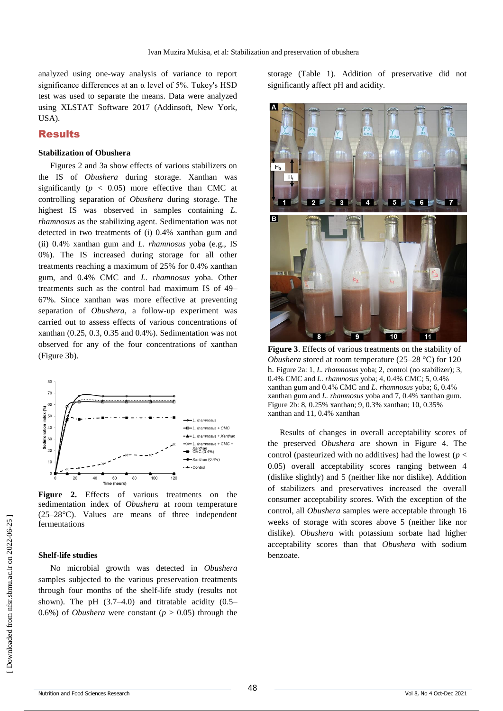analyzed using one-way analysis of variance to report significance differences at an  $\alpha$  level of 5%. Tukey's HSD test was used to separate the means. Data were analyzed using XLSTAT Software 2017 (Addinsoft, New York, USA).

## Results

#### **Stabilization of Obushera**

Figures 2 and 3a show effects of various stabilizers on the IS of *Obushera* during storage. Xanthan was significantly  $(p < 0.05)$  more effective than CMC at controlling separation of *Obushera* during storage. The highest IS was observed in samples containing *L. rhamnosus* as the stabilizing agent*.* Sedimentation was not detected in two treatments of (i) 0.4% xanthan gum and (ii) 0.4% xanthan gum and *L. rhamnosus* yoba (e.g., IS 0%). The IS increased during storage for all other treatments reaching a maximum of 25% for 0.4% xanthan gum, and 0.4% CMC and *L*. *rhamnosus* yoba. Other treatments such as the control had maximum IS of 49– 67%. Since xanthan was more effective at preventing separation of *Obushera*, a follow-up experiment was carried out to assess effects of various concentrations of xanthan (0.25, 0.3, 0.35 and 0.4%). Sedimentation was not observed for any of the four concentrations of xanthan (Figure 3b).



**Figure 2.** Effects of various treatments on the sedimentation index of *Obushera* at room temperature  $(25-28\degree C)$ . Values are means of three independent fermentations

#### **Shelf-life studies**

No microbial growth was detected in *Obushera* samples subjected to the various preservation treatments through four months of the shelf-life study (results not shown). The pH  $(3.7–4.0)$  and titratable acidity  $(0.5–$ 0.6%) of *Obushera* were constant ( $p > 0.05$ ) through the storage (Table 1). Addition of preservative did not significantly affect pH and acidity.



**Figure 3**. Effects of various treatments on the stability of *Obushera* stored at room temperature (25–28 °C) for 120 h. Figure 2a: 1, *L. rhamnosus* yoba; 2, control (no stabilizer); 3, 0.4% CMC and *L*. *rhamnosus* yoba; 4, 0.4% CMC; 5, 0.4% xanthan gum and 0.4% CMC and *L*. *rhamnosus* yoba; 6, 0.4% xanthan gum and *L. rhamnosus* yoba and 7, 0.4% xanthan gum. Figure 2b: 8, 0.25% xanthan; 9, 0.3% xanthan; 10, 0.35% xanthan and 11, 0.4% xanthan

Results of changes in overall acceptability scores of the preserved *Obushera* are shown in Figure 4. The control (pasteurized with no additives) had the lowest ( $p <$ 0.05) overall acceptability scores ranging between 4 (dislike slightly) and 5 (neither like nor dislike). Addition of stabilizers and preservatives increased the overall consumer acceptability scores. With the exception of the control, all *Obushera* samples were acceptable through 16 weeks of storage with scores above 5 (neither like nor dislike). *Obushera* with potassium sorbate had higher acceptability scores than that *Obushera* with sodium benzoate.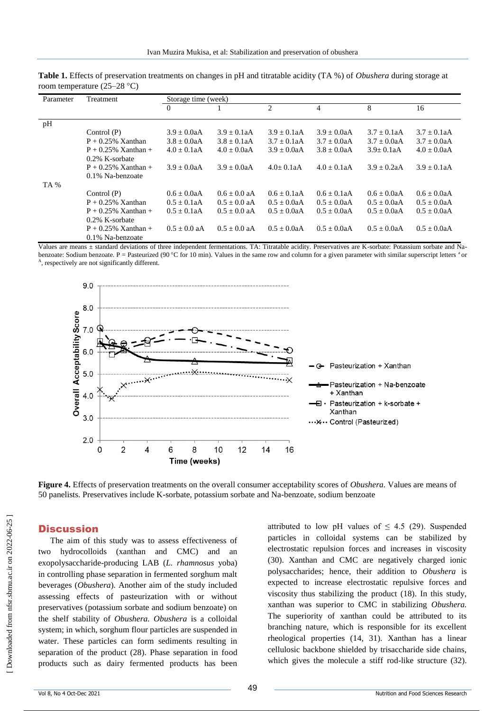| Parameter | <b>Treatment</b>       | Storage time (week) |                  |                  |                |                  |                  |
|-----------|------------------------|---------------------|------------------|------------------|----------------|------------------|------------------|
|           |                        | $\theta$            |                  | $\overline{c}$   | $\overline{4}$ | 8                | 16               |
| pH        |                        |                     |                  |                  |                |                  |                  |
|           | Control $(P)$          | $3.9 \pm 0.0$ aA    | $3.9 \pm 0.1$ aA | $3.9 \pm 0.1$ aA | $3.9 + 0.0aA$  | $3.7 \pm 0.1$ aA | $3.7 \pm 0.1$ aA |
|           | $P + 0.25\%$ Xanthan   | $3.8 + 0.0aA$       | $3.8 + 0.1aA$    | $3.7 + 0.1aA$    | $3.7 + 0.0aA$  | $3.7 + 0.0aA$    | $3.7 + 0.0aA$    |
|           | $P + 0.25\%$ Xanthan + | $4.0 + 0.1aA$       | $4.0 + 0.0aA$    | $3.9 + 0.0aA$    | $3.8 + 0.0aA$  | $3.9 + 0.1aA$    | $4.0 + 0.0aA$    |
|           | $0.2\%$ K-sorbate      |                     |                  |                  |                |                  |                  |
|           | $P + 0.25\%$ Xanthan + | $3.9 + 0.0aA$       | $3.9 + 0.0aA$    | $4.0+0.1aA$      | $4.0 + 0.1aA$  | $3.9 + 0.2aA$    | $3.9 + 0.1aA$    |
|           | $0.1\%$ Na-benzoate    |                     |                  |                  |                |                  |                  |
| TA %      |                        |                     |                  |                  |                |                  |                  |
|           | Control $(P)$          | $0.6 + 0.0aA$       | $0.6 + 0.0$ aA   | $0.6 + 0.1aA$    | $0.6 + 0.1aA$  | $0.6 + 0.0aA$    | $0.6 + 0.0aA$    |
|           | $P + 0.25\%$ Xanthan   | $0.5 + 0.1aA$       | $0.5 + 0.0$ aA   | $0.5 \pm 0.0$ aA | $0.5 + 0.0aA$  | $0.5 + 0.0aA$    | $0.5 \pm 0.0$ aA |
|           | $P + 0.25\%$ Xanthan + | $0.5 + 0.1aA$       | $0.5 + 0.0$ aA   | $0.5 + 0.0aA$    | $0.5 + 0.0aA$  | $0.5 + 0.0aA$    | $0.5 + 0.0aA$    |
|           | 0.2% K-sorbate         |                     |                  |                  |                |                  |                  |
|           | $P + 0.25\%$ Xanthan + | $0.5 + 0.0$ aA      | $0.5 + 0.0$ aA   | $0.5 + 0.0aA$    | $0.5 + 0.0aA$  | $0.5 + 0.0aA$    | $0.5 + 0.0aA$    |
|           | 0.1% Na-benzoate       |                     |                  |                  |                |                  |                  |

**Table 1.** Effects of preservation treatments on changes in pH and titratable acidity (TA %) of *Obushera* during storage at room temperature (25–28  $^{\circ}$ C)

Values are means  $\pm$  standard deviations of three independent fermentations. TA: Titratable acidity. Preservatives are K-sorbate: Potassium sorbate and Nabenzoate: Sodium benzoate. P = Pasteurized (90 °C for 10 min). Values in the same row and column for a given parameter with similar superscript letters <sup>a</sup> or A , respectively are not significantly different.



**Figure 4.** Effects of preservation treatments on the overall consumer acceptability scores of *Obushera.* Values are means of 50 panelists. Preservatives include K-sorbate, potassium sorbate and Na-benzoate, sodium benzoate

## **Discussion**

The aim of this study was to assess effectiveness of two hydrocolloids (xanthan and CMC) and an exopolysaccharide-producing LAB (*L. rhamnosus* yoba) in controlling phase separation in fermented sorghum malt beverages (*Obushera*)*.* Another aim of the study included assessing effects of pasteurization with or without preservatives (potassium sorbate and sodium benzoate) on the shelf stability of *Obushera. Obushera* is a colloidal system; in which, sorghum flour particles are suspended in water. These particles can form sediments resulting in separation of the product (28). Phase separation in food products such as dairy fermented products has been

attributed to low pH values of  $\leq$  4.5 (29). Suspended particles in colloidal systems can be stabilized by electrostatic repulsion forces and increases in viscosity (30). Xanthan and CMC are negatively charged ionic polysaccharides; hence, their addition to *Obushera* is expected to increase electrostatic repulsive forces and viscosity thus stabilizing the product (18). In this study, xanthan was superior to CMC in stabilizing *Obushera.*  The superiority of xanthan could be attributed to its branching nature, which is responsible for its excellent rheological properties (14, 31). Xanthan has a linear cellulosic backbone shielded by trisaccharide side chains, which gives the molecule a stiff rod-like structure (32).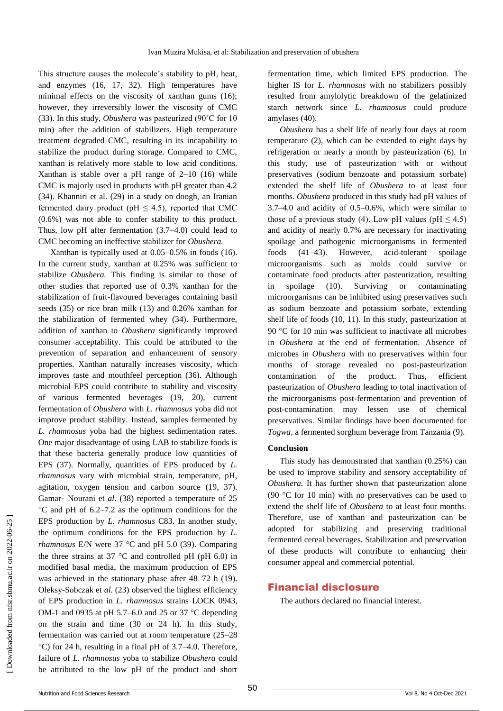This structure causes the molecule's stability to pH, heat, and enzymes (16, 17, 32). High temperatures have minimal effects on the viscosity of xanthan gums (16); however, they irreversibly lower the viscosity of CMC (33). In this study, *Obushera* was pasteurized (90˚C for 10 min) after the addition of stabilizers. High temperature treatment degraded CMC, resulting in its incapability to stabilize the product during storage. Compared to CMC, xanthan is relatively more stable to low acid conditions. Xanthan is stable over a pH range of  $2-10$  (16) while CMC is majorly used in products with pH greater than 4.2 (34). Khanniri et al. (29) in a study on doogh, an Iranian fermented dairy product (pH  $\leq$  4.5), reported that CMC (0.6%) was not able to confer stability to this product. Thus, low pH after fermentation (3.7–4.0) could lead to CMC becoming an ineffective stabilizer for *Obushera.*

Xanthan is typically used at 0.05–0.5% in foods (16). In the current study, xanthan at 0.25% was sufficient to stabilize *Obushera.* This finding is similar to those of other studies that reported use of 0.3% xanthan for the stabilization of fruit-flavoured beverages containing basil seeds (35) or rice bran milk (13) and 0.26% xanthan for the stabilization of fermented whey (34). Furthermore, addition of xanthan to *Obushera* significantly improved consumer acceptability. This could be attributed to the prevention of separation and enhancement of sensory properties. Xanthan naturally increases viscosity, which improves taste and mouthfeel perception (36). Although microbial EPS could contribute to stability and viscosity of various fermented beverages (19, 20), current fermentation of *Obushera* with *L. rhamnosus* yoba did not improve product stability. Instead, samples fermented by *L. rhamnosus* yoba had the highest sedimentation rates. One major disadvantage of using LAB to stabilize foods is that these bacteria generally produce low quantities of EPS (37). Normally, quantities of EPS produced by *L. rhamnosus* vary with microbial strain, temperature, pH, agitation, oxygen tension and carbon source (19, 37). Gamar‐ Nourani et *al*. (38) reported a temperature of 25  $\rm{^{\circ}C}$  and pH of 6.2–7.2 as the optimum conditions for the EPS production by *L. rhamnosus* C83. In another study, the optimum conditions for the EPS production by *L. rhamnosus* E/N were  $37$  °C and pH 5.0 (39). Comparing the three strains at 37  $\degree$ C and controlled pH (pH 6.0) in modified basal media, the maximum production of EPS was achieved in the stationary phase after 48–72 h (19). Oleksy-Sobczak et *al*. (23) observed the highest efficiency of EPS production in *L. rhamnosus* strains LOCK 0943, OM-1 and 0935 at pH 5.7–6.0 and 25 or 37  $\degree$ C depending on the strain and time (30 or 24 h). In this study, fermentation was carried out at room temperature (25–28  $^{\circ}$ C) for 24 h, resulting in a final pH of 3.7–4.0. Therefore, failure of *L. rhamnosus* yoba to stabilize *Obushera* could be attributed to the low pH of the product and short

fermentation time, which limited EPS production. The higher IS for *L. rhamnosus* with no stabilizers possibly resulted from amylolytic breakdown of the gelatinized starch network since *L. rhamnosus* could produce amylases (40).

*Obushera* has a shelf life of nearly four days at room temperature (2), which can be extended to eight days by refrigeration or nearly a month by pasteurization (6). In this study, use of pasteurization with or without preservatives (sodium benzoate and potassium sorbate) extended the shelf life of *Obushera* to at least four months. *Obushera* produced in this study had pH values of 3.7–4.0 and acidity of 0.5–0.6%, which were similar to those of a previous study (4). Low pH values (pH  $\leq$  4.5) and acidity of nearly 0.7% are necessary for inactivating spoilage and pathogenic microorganisms in fermented foods (41–43). However, acid-tolerant spoilage microorganisms such as molds could survive or contaminate food products after pasteurization, resulting in spoilage (10). Surviving or contaminating microorganisms can be inhibited using preservatives such as sodium benzoate and potassium sorbate, extending shelf life of foods (10, 11). In this study, pasteurization at 90  $\degree$ C for 10 min was sufficient to inactivate all microbes in *Obushera* at the end of fermentation. Absence of microbes in *Obushera* with no preservatives within four months of storage revealed no post-pasteurization contamination of the product. Thus, efficient pasteurization of *Obushera* leading to total inactivation of the microorganisms post-fermentation and prevention of post-contamination may lessen use of chemical preservatives. Similar findings have been documented for *Togwa,* a fermented sorghum beverage from Tanzania (9).

#### **Conclusion**

This study has demonstrated that xanthan (0.25%) can be used to improve stability and sensory acceptability of *Obushera.* It has further shown that pasteurization alone (90  $\degree$ C for 10 min) with no preservatives can be used to extend the shelf life of *Obushera* to at least four months. Therefore, use of xanthan and pasteurization can be adopted for stabilizing and preserving traditional fermented cereal beverages. Stabilization and preservation of these products will contribute to enhancing their consumer appeal and commercial potential.

### Financial disclosure

The authors declared no financial interest.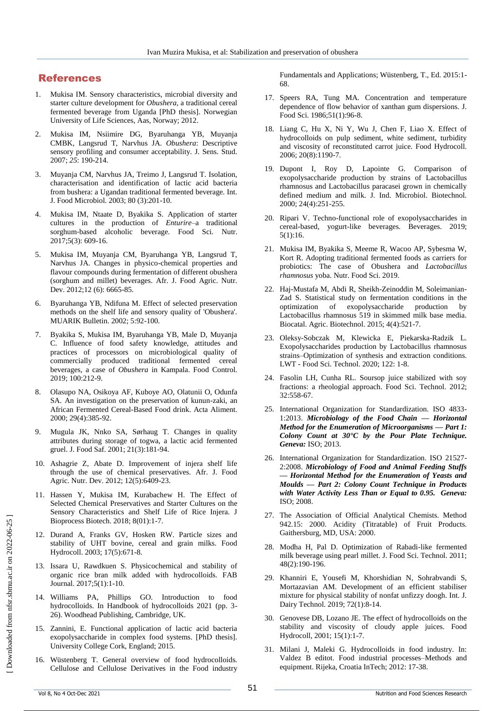## References

- 1. Mukisa IM. Sensory characteristics, microbial diversity and starter culture development for *Obushera*, a traditional cereal fermented beverage from Uganda [PhD thesis]. Norwegian University of Life Sciences, Aas, Norway; 2012.
- 2. Mukisa IM, Nsiimire DG, Byaruhanga YB, Muyanja CMBK, Langsrud T, Narvhus JA. *Obushera*: Descriptive sensory profiling and consumer acceptability. J. Sens. Stud. 2007; *25*: 190-214.
- 3. Muyanja CM, Narvhus JA, Treimo J, Langsrud T. Isolation, characterisation and identification of lactic acid bacteria from bushera: a Ugandan traditional fermented beverage. Int. J. Food Microbiol. 2003; 80 (3):201-10.
- 4. Mukisa IM, Ntaate D, Byakika S. Application of starter cultures in the production of *Enturire*–a traditional sorghum‐based alcoholic beverage. Food Sci. Nutr. 2017;5(3): 609-16.
- 5. Mukisa IM, Muyanja CM, Byaruhanga YB, Langsrud T, Narvhus JA. Changes in physico-chemical properties and flavour compounds during fermentation of different obushera (sorghum and millet) beverages. Afr. J. Food Agric. Nutr. Dev. 2012;12 (6): 6665-85.
- 6. Byaruhanga YB, Ndifuna M. Effect of selected preservation methods on the shelf life and sensory quality of 'Obushera'. MUARIK Bulletin. 2002; 5:92-100.
- 7. Byakika S, Mukisa IM, Byaruhanga YB, Male D, Muyanja C. Influence of food safety knowledge, attitudes and practices of processors on microbiological quality of commercially produced traditional fermented cereal beverages, a case of *Obushera* in Kampala. Food Control. 2019; 100:212-9.
- 8. Olasupo NA, Osikoya AF, Kuboye AO, Olatunii O, Odunfa SA. An investigation on the preservation of kunun-zaki, an African Fermented Cereal-Based Food drink. Acta Aliment. 2000; 29(4):385-92.
- 9. Mugula JK, Nnko SA, Sørhaug T. Changes in quality attributes during storage of togwa, a lactic acid fermented gruel. J. Food Saf. 2001; 21(3):181-94.
- 10. Ashagrie Z, Abate D. Improvement of injera shelf life through the use of chemical preservatives. Afr. J. Food Agric. Nutr. Dev. 2012; 12(5):6409-23.
- 11. Hassen Y, Mukisa IM, Kurabachew H. The Effect of Selected Chemical Preservatives and Starter Cultures on the Sensory Characteristics and Shelf Life of Rice Injera. J Bioprocess Biotech. 2018; 8(01):1-7.
- 12. Durand A, Franks GV, Hosken RW. Particle sizes and stability of UHT bovine, cereal and grain milks. Food Hydrocoll. 2003; 17(5):671-8.
- 13. Issara U, Rawdkuen S. Physicochemical and stability of organic rice bran milk added with hydrocolloids. FAB Journal. 2017;5(1):1-10.
- 14. Williams PA, Phillips GO. Introduction to food hydrocolloids. In Handbook of hydrocolloids 2021 (pp. 3- 26). Woodhead Publishing, Cambridge, UK.
- 15. Zannini, E. Functional application of lactic acid bacteria exopolysaccharide in complex food systems. [PhD thesis]. University College Cork, England; 2015.
- 16. Wüstenberg T. General overview of food hydrocolloids. Cellulose and Cellulose Derivatives in the Food industry

Fundamentals and Applications; Wüstenberg, T., Ed. 2015:1- 68.

- 17. Speers RA, Tung MA. Concentration and temperature dependence of flow behavior of xanthan gum dispersions. J. Food Sci. 1986;51(1):96-8.
- 18. Liang C, Hu X, Ni Y, Wu J, Chen F, Liao X. Effect of hydrocolloids on pulp sediment, white sediment, turbidity and viscosity of reconstituted carrot juice. Food Hydrocoll. 2006; 20(8):1190-7.
- 19. Dupont I, Roy D, Lapointe G. Comparison of exopolysaccharide production by strains of Lactobacillus rhamnosus and Lactobacillus paracasei grown in chemically defined medium and milk. J. Ind. Microbiol. Biotechnol. 2000; 24(4):251-255.
- 20. Ripari V. Techno-functional role of exopolysaccharides in cereal-based, yogurt-like beverages. Beverages. 2019; 5(1):16.
- 21. Mukisa IM, Byakika S, Meeme R, Wacoo AP, Sybesma W, Kort R. Adopting traditional fermented foods as carriers for probiotics: The case of Obushera and *Lactobacillus rhamnosus* yoba. Nutr. Food Sci. 2019.
- 22. Haj-Mustafa M, Abdi R, Sheikh-Zeinoddin M, Soleimanian-Zad S. Statistical study on fermentation conditions in the optimization of exopolysaccharide production by Lactobacillus rhamnosus 519 in skimmed milk base media. Biocatal. Agric. Biotechnol. 2015; 4(4):521-7.
- 23. Oleksy-Sobczak M, Klewicka E, Piekarska-Radzik L. Exopolysaccharides production by Lactobacillus rhamnosus strains–Optimization of synthesis and extraction conditions. LWT - Food Sci. Technol. 2020; 122: 1-8.
- 24. Fasolin LH, Cunha RL. Soursop juice stabilized with soy fractions: a rheologial approach. Food Sci. Technol. 2012; 32:558-67.
- 25. International Organization for Standardization. ISO 4833- 1:2013. *Microbiology of the Food Chain — Horizontal Method for the Enumeration of Microorganisms — Part 1: Colony Count at 30°C by the Pour Plate Technique. Geneva:* ISO; 2013.
- 26. International Organization for Standardization. ISO 21527- 2:2008. *Microbiology of Food and Animal Feeding Stuffs — Horizontal Method for the Enumeration of Yeasts and Moulds — Part 2: Colony Count Technique in Products with Water Activity Less Than or Equal to 0.95. Geneva:* ISO; 2008.
- 27. The Association of Official Analytical Chemists. Method 942.15: 2000. Acidity (Titratable) of Fruit Products. Gaithersburg, MD, USA: 2000.
- 28. Modha H, Pal D. Optimization of Rabadi-like fermented milk beverage using pearl millet. J. Food Sci. Technol. 2011; 48(2):190-196.
- 29. Khanniri E, Yousefi M, Khorshidian N, Sohrabvandi S, Mortazavian AM. Development of an efficient stabiliser mixture for physical stability of nonfat unfizzy doogh. Int. J. Dairy Technol. 2019; 72(1):8-14.
- 30. Genovese DB, Lozano JE. The effect of hydrocolloids on the stability and viscosity of cloudy apple juices. Food Hydrocoll, 2001; 15(1):1-7.
- 31. Milani J, Maleki G. Hydrocolloids in food industry. In: Valdez B editot. Food industrial processes–Methods and equipment. Rijeka, Croatia InTech; 2012: 17-38.